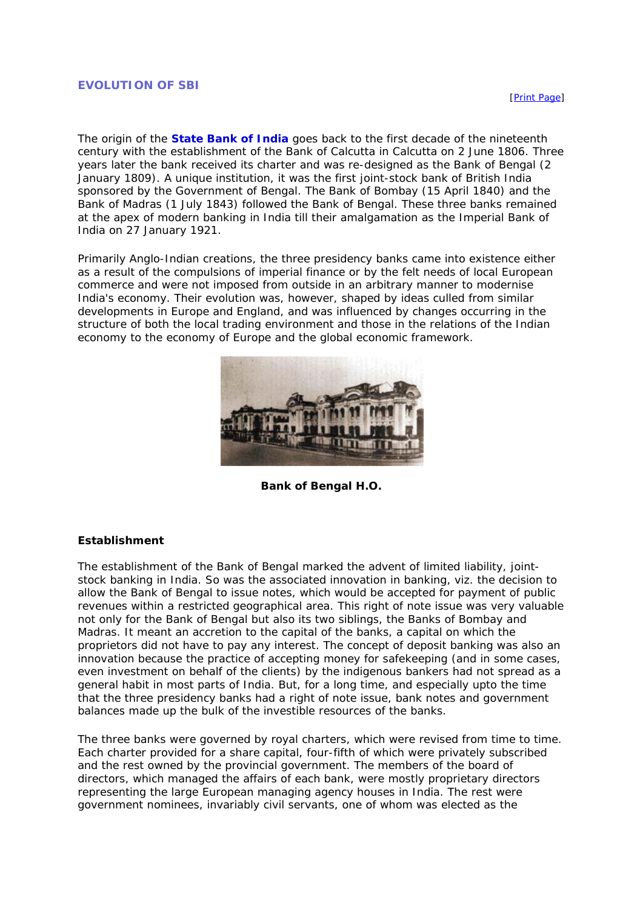#### **EVOLUTION OF SBI**

The origin of the **State Bank of India** goes back to the first decade of the nineteenth century with the establishment of the Bank of Calcutta in Calcutta on 2 June 1806. Three years later the bank received its charter and was re-designed as the Bank of Bengal (2 January 1809). A unique institution, it was the first joint-stock bank of British India sponsored by the Government of Bengal. The Bank of Bombay (15 April 1840) and the Bank of Madras (1 July 1843) followed the Bank of Bengal. These three banks remained at the apex of modern banking in India till their amalgamation as the Imperial Bank of India on 27 January 1921.

Primarily Anglo-Indian creations, the three presidency banks came into existence either as a result of the compulsions of imperial finance or by the felt needs of local European commerce and were not imposed from outside in an arbitrary manner to modernise India's economy. Their evolution was, however, shaped by ideas culled from similar developments in Europe and England, and was influenced by changes occurring in the structure of both the local trading environment and those in the relations of the Indian economy to the economy of Europe and the global economic framework.



**Bank of Bengal H.O.**

#### **Establishment**

The establishment of the Bank of Bengal marked the advent of limited liability, jointstock banking in India. So was the associated innovation in banking, viz. the decision to allow the Bank of Bengal to issue notes, which would be accepted for payment of public revenues within a restricted geographical area. This right of note issue was very valuable not only for the Bank of Bengal but also its two siblings, the Banks of Bombay and Madras. It meant an accretion to the capital of the banks, a capital on which the proprietors did not have to pay any interest. The concept of deposit banking was also an innovation because the practice of accepting money for safekeeping (and in some cases, even investment on behalf of the clients) by the indigenous bankers had not spread as a general habit in most parts of India. But, for a long time, and especially upto the time that the three presidency banks had a right of note issue, bank notes and government balances made up the bulk of the investible resources of the banks.

The three banks were governed by royal charters, which were revised from time to time. Each charter provided for a share capital, four-fifth of which were privately subscribed and the rest owned by the provincial government. The members of the board of directors, which managed the affairs of each bank, were mostly proprietary directors representing the large European managing agency houses in India. The rest were government nominees, invariably civil servants, one of whom was elected as the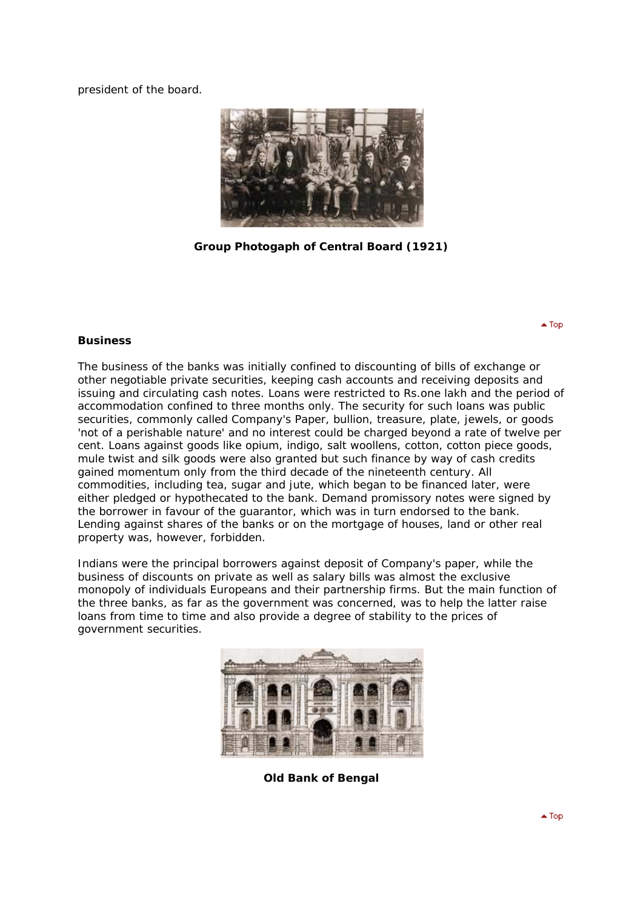president of the board.



**Group Photogaph of Central Board (1921)**

### **Business**

The business of the banks was initially confined to discounting of bills of exchange or other negotiable private securities, keeping cash accounts and receiving deposits and issuing and circulating cash notes. Loans were restricted to Rs.one lakh and the period of accommodation confined to three months only. The security for such loans was public securities, commonly called Company's Paper, bullion, treasure, plate, jewels, or goods 'not of a perishable nature' and no interest could be charged beyond a rate of twelve per cent. Loans against goods like opium, indigo, salt woollens, cotton, cotton piece goods, mule twist and silk goods were also granted but such finance by way of cash credits gained momentum only from the third decade of the nineteenth century. All commodities, including tea, sugar and jute, which began to be financed later, were either pledged or hypothecated to the bank. Demand promissory notes were signed by the borrower in favour of the guarantor, which was in turn endorsed to the bank. Lending against shares of the banks or on the mortgage of houses, land or other real property was, however, forbidden.

Indians were the principal borrowers against deposit of Company's paper, while the business of discounts on private as well as salary bills was almost the exclusive monopoly of individuals Europeans and their partnership firms. But the main function of the three banks, as far as the government was concerned, was to help the latter raise loans from time to time and also provide a degree of stability to the prices of government securities.



**Old Bank of Bengal**

 $\triangle$  Top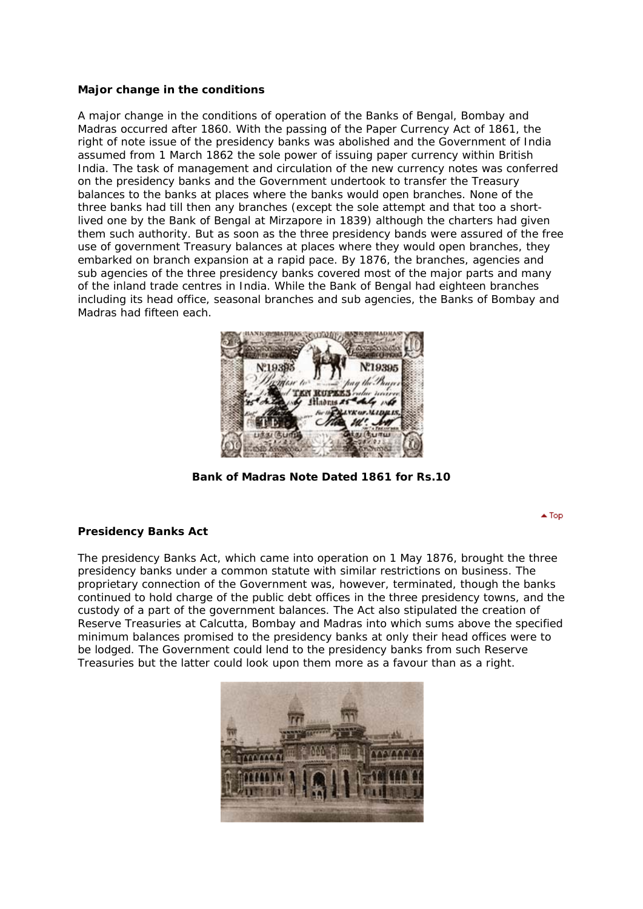# **Major change in the conditions**

A major change in the conditions of operation of the Banks of Bengal, Bombay and Madras occurred after 1860. With the passing of the Paper Currency Act of 1861, the right of note issue of the presidency banks was abolished and the Government of India assumed from 1 March 1862 the sole power of issuing paper currency within British India. The task of management and circulation of the new currency notes was conferred on the presidency banks and the Government undertook to transfer the Treasury balances to the banks at places where the banks would open branches. None of the three banks had till then any branches (except the sole attempt and that too a shortlived one by the Bank of Bengal at Mirzapore in 1839) although the charters had given them such authority. But as soon as the three presidency bands were assured of the free use of government Treasury balances at places where they would open branches, they embarked on branch expansion at a rapid pace. By 1876, the branches, agencies and sub agencies of the three presidency banks covered most of the major parts and many of the inland trade centres in India. While the Bank of Bengal had eighteen branches including its head office, seasonal branches and sub agencies, the Banks of Bombay and Madras had fifteen each.



**Bank of Madras Note Dated 1861 for Rs.10**

 $\triangle$  Top

# **Presidency Banks Act**

The presidency Banks Act, which came into operation on 1 May 1876, brought the three presidency banks under a common statute with similar restrictions on business. The proprietary connection of the Government was, however, terminated, though the banks continued to hold charge of the public debt offices in the three presidency towns, and the custody of a part of the government balances. The Act also stipulated the creation of Reserve Treasuries at Calcutta, Bombay and Madras into which sums above the specified minimum balances promised to the presidency banks at only their head offices were to be lodged. The Government could lend to the presidency banks from such Reserve Treasuries but the latter could look upon them more as a favour than as a right.

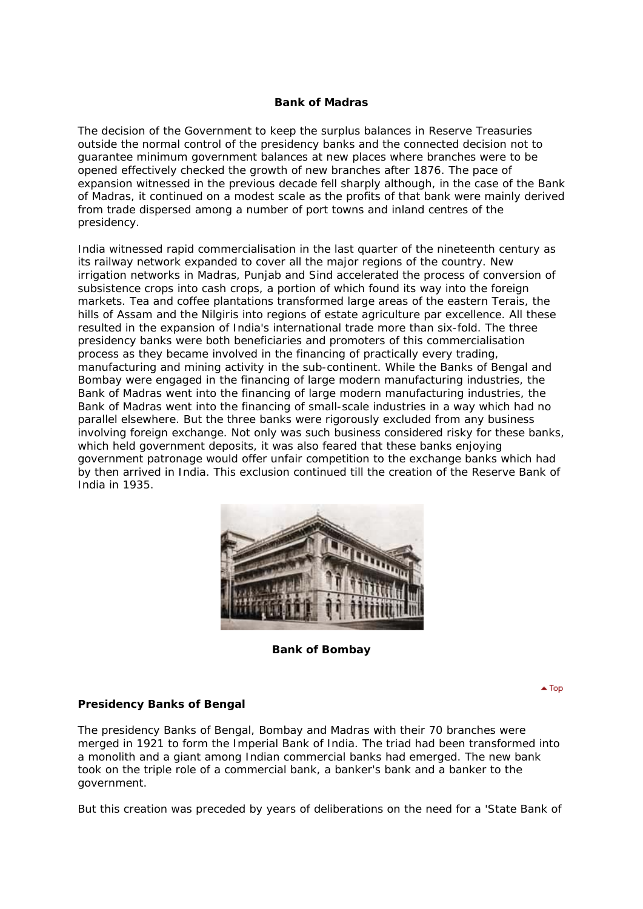# **Bank of Madras**

The decision of the Government to keep the surplus balances in Reserve Treasuries outside the normal control of the presidency banks and the connected decision not to guarantee minimum government balances at new places where branches were to be opened effectively checked the growth of new branches after 1876. The pace of expansion witnessed in the previous decade fell sharply although, in the case of the Bank of Madras, it continued on a modest scale as the profits of that bank were mainly derived from trade dispersed among a number of port towns and inland centres of the presidency.

India witnessed rapid commercialisation in the last quarter of the nineteenth century as its railway network expanded to cover all the major regions of the country. New irrigation networks in Madras, Punjab and Sind accelerated the process of conversion of subsistence crops into cash crops, a portion of which found its way into the foreign markets. Tea and coffee plantations transformed large areas of the eastern Terais, the hills of Assam and the Nilgiris into regions of estate agriculture par excellence. All these resulted in the expansion of India's international trade more than six-fold. The three presidency banks were both beneficiaries and promoters of this commercialisation process as they became involved in the financing of practically every trading, manufacturing and mining activity in the sub-continent. While the Banks of Bengal and Bombay were engaged in the financing of large modern manufacturing industries, the Bank of Madras went into the financing of large modern manufacturing industries, the Bank of Madras went into the financing of small-scale industries in a way which had no parallel elsewhere. But the three banks were rigorously excluded from any business involving foreign exchange. Not only was such business considered risky for these banks, which held government deposits, it was also feared that these banks enjoying government patronage would offer unfair competition to the exchange banks which had by then arrived in India. This exclusion continued till the creation of the Reserve Bank of India in 1935.



**Bank of Bombay**

 $\blacktriangle$  Top

# **Presidency Banks of Bengal**

The presidency Banks of Bengal, Bombay and Madras with their 70 branches were merged in 1921 to form the Imperial Bank of India. The triad had been transformed into a monolith and a giant among Indian commercial banks had emerged. The new bank took on the triple role of a commercial bank, a banker's bank and a banker to the government.

But this creation was preceded by years of deliberations on the need for a 'State Bank of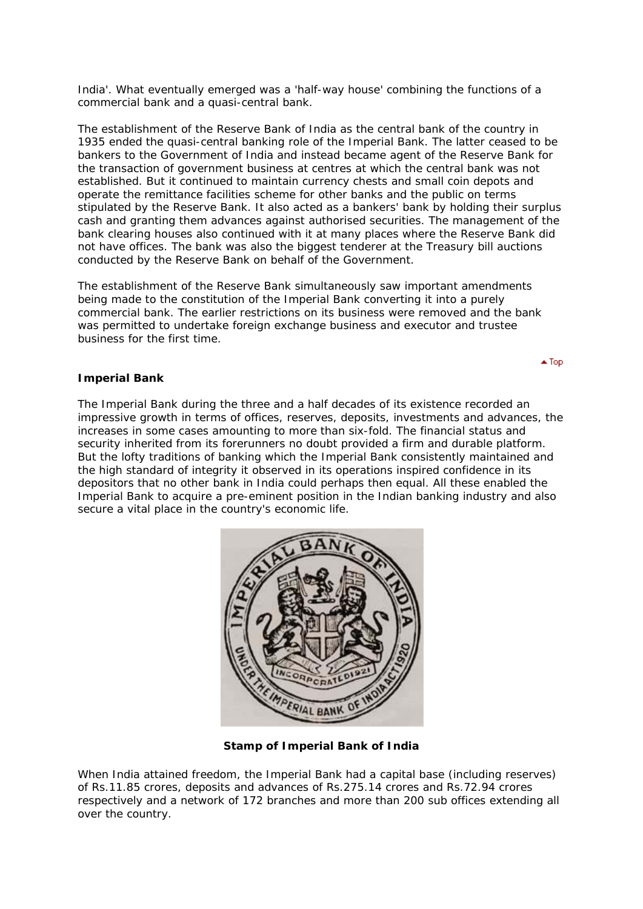India'. What eventually emerged was a 'half-way house' combining the functions of a commercial bank and a quasi-central bank.

The establishment of the Reserve Bank of India as the central bank of the country in 1935 ended the quasi-central banking role of the Imperial Bank. The latter ceased to be bankers to the Government of India and instead became agent of the Reserve Bank for the transaction of government business at centres at which the central bank was not established. But it continued to maintain currency chests and small coin depots and operate the remittance facilities scheme for other banks and the public on terms stipulated by the Reserve Bank. It also acted as a bankers' bank by holding their surplus cash and granting them advances against authorised securities. The management of the bank clearing houses also continued with it at many places where the Reserve Bank did not have offices. The bank was also the biggest tenderer at the Treasury bill auctions conducted by the Reserve Bank on behalf of the Government.

The establishment of the Reserve Bank simultaneously saw important amendments being made to the constitution of the Imperial Bank converting it into a purely commercial bank. The earlier restrictions on its business were removed and the bank was permitted to undertake foreign exchange business and executor and trustee business for the first time.

### **Imperial Bank**

The Imperial Bank during the three and a half decades of its existence recorded an impressive growth in terms of offices, reserves, deposits, investments and advances, the increases in some cases amounting to more than six-fold. The financial status and security inherited from its forerunners no doubt provided a firm and durable platform. But the lofty traditions of banking which the Imperial Bank consistently maintained and the high standard of integrity it observed in its operations inspired confidence in its depositors that no other bank in India could perhaps then equal. All these enabled the Imperial Bank to acquire a pre-eminent position in the Indian banking industry and also secure a vital place in the country's economic life.



**Stamp of Imperial Bank of India**

When India attained freedom, the Imperial Bank had a capital base (including reserves) of Rs.11.85 crores, deposits and advances of Rs.275.14 crores and Rs.72.94 crores respectively and a network of 172 branches and more than 200 sub offices extending all over the country.

 $\triangle$  Top